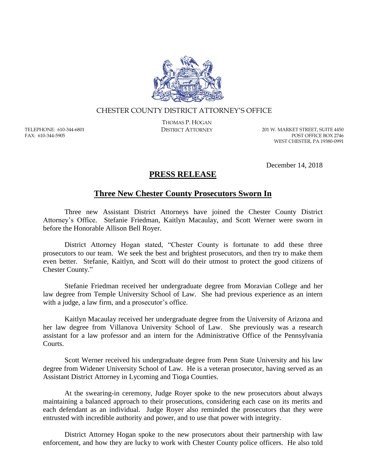

## CHESTER COUNTY DISTRICT ATTORNEY'S OFFICE

TELEPHONE: 610-344-6801 FAX: 610-344-5905

THOMAS P. HOGAN

DISTRICT ATTORNEY 201 W. MARKET STREET, SUITE 4450 POST OFFICE BOX 2746 WEST CHESTER, PA 19380-0991

December 14, 2018

## **PRESS RELEASE**

## **Three New Chester County Prosecutors Sworn In**

Three new Assistant District Attorneys have joined the Chester County District Attorney's Office. Stefanie Friedman, Kaitlyn Macaulay, and Scott Werner were sworn in before the Honorable Allison Bell Royer.

District Attorney Hogan stated, "Chester County is fortunate to add these three prosecutors to our team. We seek the best and brightest prosecutors, and then try to make them even better. Stefanie, Kaitlyn, and Scott will do their utmost to protect the good citizens of Chester County."

Stefanie Friedman received her undergraduate degree from Moravian College and her law degree from Temple University School of Law. She had previous experience as an intern with a judge, a law firm, and a prosecutor's office.

Kaitlyn Macaulay received her undergraduate degree from the University of Arizona and her law degree from Villanova University School of Law. She previously was a research assistant for a law professor and an intern for the Administrative Office of the Pennsylvania Courts.

Scott Werner received his undergraduate degree from Penn State University and his law degree from Widener University School of Law. He is a veteran prosecutor, having served as an Assistant District Attorney in Lycoming and Tioga Counties.

At the swearing-in ceremony, Judge Royer spoke to the new prosecutors about always maintaining a balanced approach to their prosecutions, considering each case on its merits and each defendant as an individual. Judge Royer also reminded the prosecutors that they were entrusted with incredible authority and power, and to use that power with integrity.

District Attorney Hogan spoke to the new prosecutors about their partnership with law enforcement, and how they are lucky to work with Chester County police officers. He also told